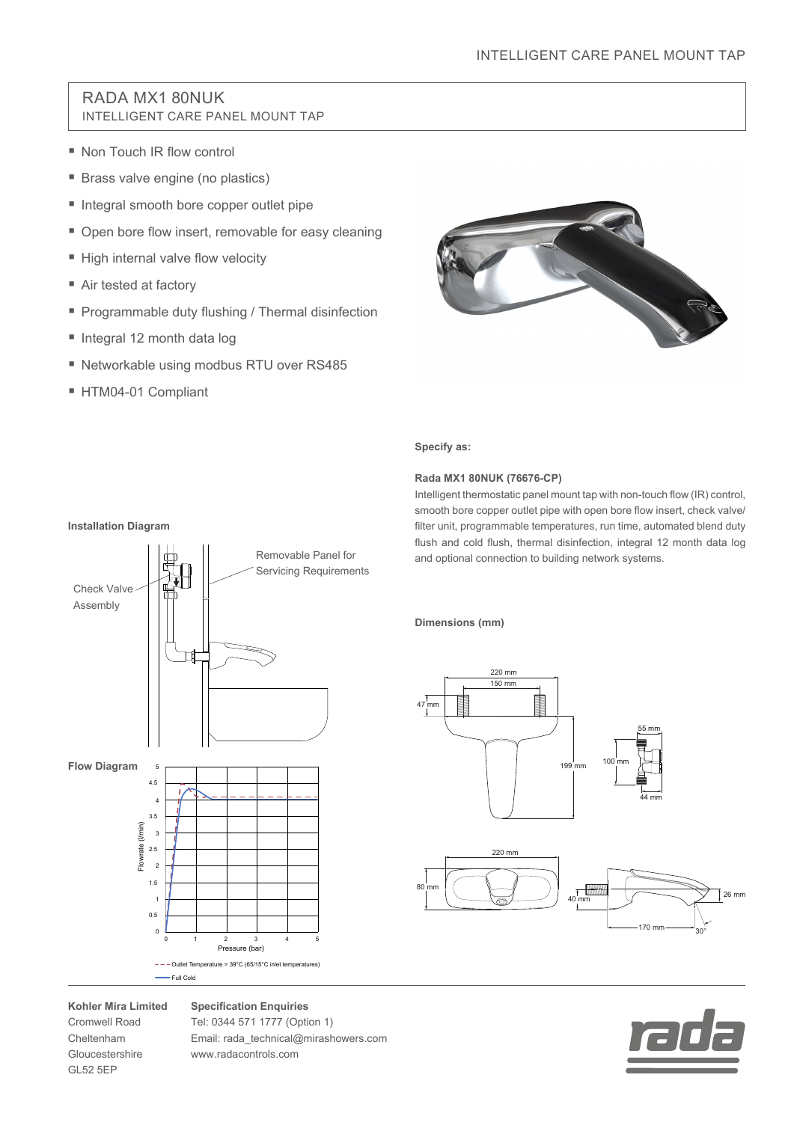## RADA MX1 80NUK INTELLIGENT CARE PANEL MOUNT TAP

- Non Touch IR flow control
- Brass valve engine (no plastics)
- Integral smooth bore copper outlet pipe
- Open bore flow insert, removable for easy cleaning
- High internal valve flow velocity
- Air tested at factory
- **Programmable duty flushing / Thermal disinfection**
- Integral 12 month data log
- Networkable using modbus RTU over RS485
- HTM04-01 Compliant



### **Specify as:**

#### **Rada MX1 80NUK (76676-CP)**

Intelligent thermostatic panel mount tap with non-touch flow (IR) control, smooth bore copper outlet pipe with open bore flow insert, check valve/ filter unit, programmable temperatures, run time, automated blend duty flush and cold flush, thermal disinfection, integral 12 month data log and optional connection to building network systems.

**Dimensions (mm)**





## Check Valve Assembly **Flow Diagram**  $-$  - Outlet Temperature = 39°C (65/15°C inlet temperatures) Full Cold Pressure (bar) Flowrate (l/min) 0  $\epsilon$ 0.5 1 1.5 2 2.5 3 3.5 4 4.5 5 1 2 3 4 5 Removable Panel for Servicing Requirements

### **Kohler Mira Limited**

Cromwell Road Cheltenham Gloucestershire GL52 5EP

**Specification Enquiries** Tel: 0344 571 1777 (Option 1) Email: rada\_technical@mirashowers.com www.radacontrols.com

#### **Installation Diagram**